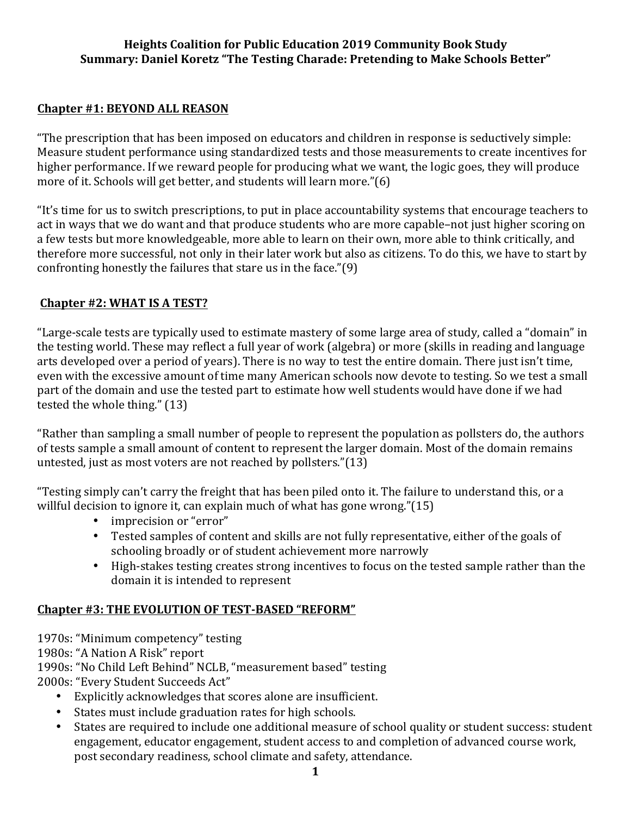### **Chapter #1: BEYOND ALL REASON**

"The prescription that has been imposed on educators and children in response is seductively simple: Measure student performance using standardized tests and those measurements to create incentives for higher performance. If we reward people for producing what we want, the logic goes, they will produce more of it. Schools will get better, and students will learn more." $(6)$ 

"It's time for us to switch prescriptions, to put in place accountability systems that encourage teachers to act in ways that we do want and that produce students who are more capable–not just higher scoring on a few tests but more knowledgeable, more able to learn on their own, more able to think critically, and therefore more successful, not only in their later work but also as citizens. To do this, we have to start by confronting honestly the failures that stare us in the face." $(9)$ 

# **Chapter #2: WHAT IS A TEST?**

"Large-scale tests are typically used to estimate mastery of some large area of study, called a "domain" in the testing world. These may reflect a full year of work (algebra) or more (skills in reading and language arts developed over a period of years). There is no way to test the entire domain. There just isn't time, even with the excessive amount of time many American schools now devote to testing. So we test a small part of the domain and use the tested part to estimate how well students would have done if we had tested the whole thing."  $(13)$ 

"Rather than sampling a small number of people to represent the population as pollsters do, the authors of tests sample a small amount of content to represent the larger domain. Most of the domain remains untested, just as most voters are not reached by pollsters." $(13)$ 

"Testing simply can't carry the freight that has been piled onto it. The failure to understand this, or a willful decision to ignore it, can explain much of what has gone wrong."(15)

- imprecision or "error"
- Tested samples of content and skills are not fully representative, either of the goals of schooling broadly or of student achievement more narrowly
- High-stakes testing creates strong incentives to focus on the tested sample rather than the domain it is intended to represent

# **Chapter #3: THE EVOLUTION OF TEST-BASED "REFORM"**

1970s: "Minimum competency" testing

1980s: "A Nation A Risk" report

1990s: "No Child Left Behind" NCLB, "measurement based" testing

2000s: "Every Student Succeeds Act"

- Explicitly acknowledges that scores alone are insufficient.
- States must include graduation rates for high schools.
- States are required to include one additional measure of school quality or student success: student engagement, educator engagement, student access to and completion of advanced course work, post secondary readiness, school climate and safety, attendance.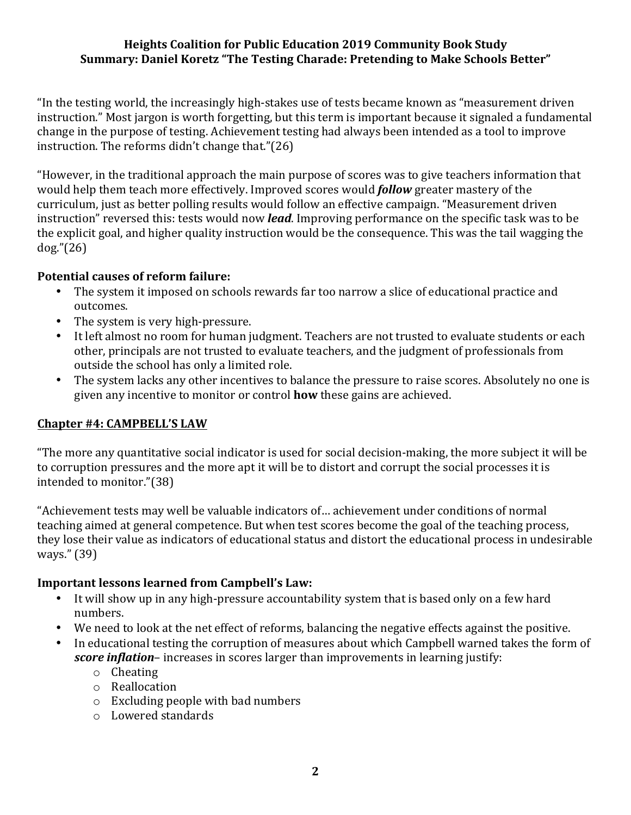"In the testing world, the increasingly high-stakes use of tests became known as "measurement driven" instruction." Most jargon is worth forgetting, but this term is important because it signaled a fundamental change in the purpose of testing. Achievement testing had always been intended as a tool to improve instruction. The reforms didn't change that." $(26)$ 

"However, in the traditional approach the main purpose of scores was to give teachers information that would help them teach more effectively. Improved scores would **follow** greater mastery of the curriculum, just as better polling results would follow an effective campaign. "Measurement driven instruction" reversed this: tests would now *lead*. Improving performance on the specific task was to be the explicit goal, and higher quality instruction would be the consequence. This was the tail wagging the dog."(26)

#### **Potential causes of reform failure:**

- The system it imposed on schools rewards far too narrow a slice of educational practice and outcomes.
- The system is very high-pressure.
- It left almost no room for human judgment. Teachers are not trusted to evaluate students or each other, principals are not trusted to evaluate teachers, and the judgment of professionals from outside the school has only a limited role.
- The system lacks any other incentives to balance the pressure to raise scores. Absolutely no one is given any incentive to monitor or control **how** these gains are achieved.

#### **Chapter #4: CAMPBELL'S LAW**

"The more any quantitative social indicator is used for social decision-making, the more subject it will be to corruption pressures and the more apt it will be to distort and corrupt the social processes it is intended to monitor."(38)

"Achievement tests may well be valuable indicators of... achievement under conditions of normal teaching aimed at general competence. But when test scores become the goal of the teaching process, they lose their value as indicators of educational status and distort the educational process in undesirable ways." (39)

#### **Important lessons learned from Campbell's Law:**

- It will show up in any high-pressure accountability system that is based only on a few hard numbers.
- We need to look at the net effect of reforms, balancing the negative effects against the positive.
- In educational testing the corruption of measures about which Campbell warned takes the form of *score inflation*– increases in scores larger than improvements in learning justify:
	- o Cheating
	- o Reallocation
	- $\circ$  Excluding people with bad numbers
	- $\circ$  Lowered standards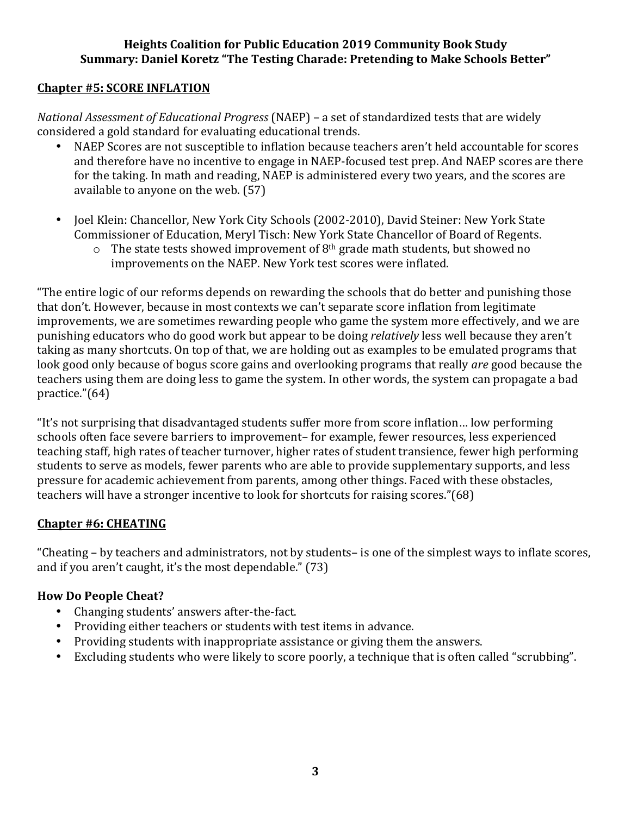#### **Chapter #5: SCORE INFLATION**

*National Assessment of Educational Progress* (NAEP) – a set of standardized tests that are widely considered a gold standard for evaluating educational trends.

- NAEP Scores are not susceptible to inflation because teachers aren't held accountable for scores and therefore have no incentive to engage in NAEP-focused test prep. And NAEP scores are there for the taking. In math and reading, NAEP is administered every two years, and the scores are available to anyone on the web.  $(57)$
- Joel Klein: Chancellor, New York City Schools (2002-2010), David Steiner: New York State Commissioner of Education, Meryl Tisch: New York State Chancellor of Board of Regents.
	- $\circ$  The state tests showed improvement of 8<sup>th</sup> grade math students, but showed no improvements on the NAEP. New York test scores were inflated.

"The entire logic of our reforms depends on rewarding the schools that do better and punishing those that don't. However, because in most contexts we can't separate score inflation from legitimate improvements, we are sometimes rewarding people who game the system more effectively, and we are punishing educators who do good work but appear to be doing *relatively* less well because they aren't taking as many shortcuts. On top of that, we are holding out as examples to be emulated programs that look good only because of bogus score gains and overlooking programs that really *are* good because the teachers using them are doing less to game the system. In other words, the system can propagate a bad practice."(64)

"It's not surprising that disadvantaged students suffer more from score inflation... low performing schools often face severe barriers to improvement– for example, fewer resources, less experienced teaching staff, high rates of teacher turnover, higher rates of student transience, fewer high performing students to serve as models, fewer parents who are able to provide supplementary supports, and less pressure for academic achievement from parents, among other things. Faced with these obstacles, teachers will have a stronger incentive to look for shortcuts for raising scores."(68)

#### **Chapter #6: CHEATING**

"Cheating – by teachers and administrators, not by students– is one of the simplest ways to inflate scores, and if you aren't caught, it's the most dependable."  $(73)$ 

#### **How Do People Cheat?**

- Changing students' answers after-the-fact.
- Providing either teachers or students with test items in advance.
- Providing students with inappropriate assistance or giving them the answers.
- Excluding students who were likely to score poorly, a technique that is often called "scrubbing".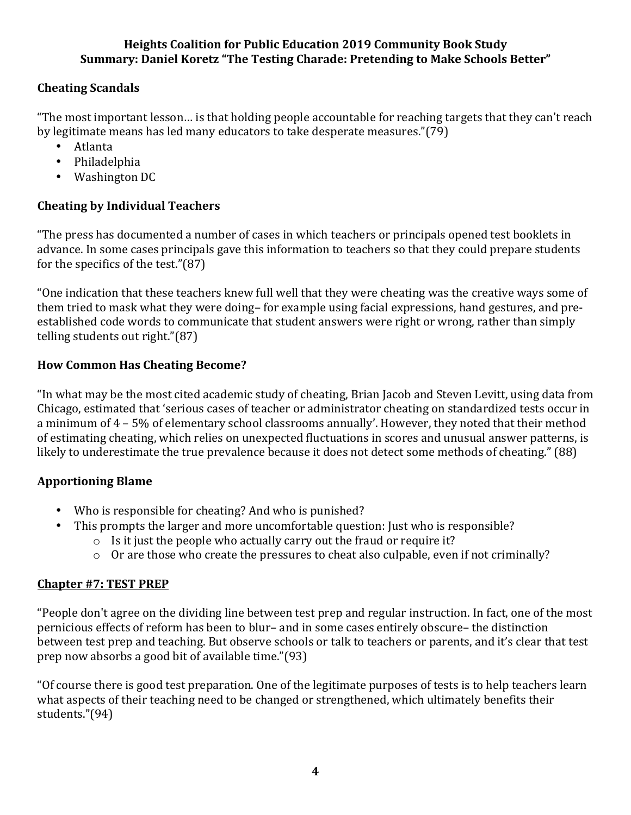# **Cheating Scandals**

"The most important lesson... is that holding people accountable for reaching targets that they can't reach by legitimate means has led many educators to take desperate measures."(79)

- Atlanta
- Philadelphia
- Washington DC

# **Cheating by Individual Teachers**

"The press has documented a number of cases in which teachers or principals opened test booklets in advance. In some cases principals gave this information to teachers so that they could prepare students for the specifics of the test." $(87)$ 

"One indication that these teachers knew full well that they were cheating was the creative ways some of them tried to mask what they were doing– for example using facial expressions, hand gestures, and preestablished code words to communicate that student answers were right or wrong, rather than simply telling students out right."(87)

# **How Common Has Cheating Become?**

"In what may be the most cited academic study of cheating, Brian Jacob and Steven Levitt, using data from Chicago, estimated that 'serious cases of teacher or administrator cheating on standardized tests occur in a minimum of 4 - 5% of elementary school classrooms annually'. However, they noted that their method of estimating cheating, which relies on unexpected fluctuations in scores and unusual answer patterns, is likely to underestimate the true prevalence because it does not detect some methods of cheating." (88)

# **Apportioning Blame**

- Who is responsible for cheating? And who is punished?
- This prompts the larger and more uncomfortable question: Just who is responsible?
	- $\circ$  Is it just the people who actually carry out the fraud or require it?
	- o Or are those who create the pressures to cheat also culpable, even if not criminally?

# **Chapter #7: TEST PREP**

"People don't agree on the dividing line between test prep and regular instruction. In fact, one of the most pernicious effects of reform has been to blur- and in some cases entirely obscure- the distinction between test prep and teaching. But observe schools or talk to teachers or parents, and it's clear that test prep now absorbs a good bit of available time."(93)

"Of course there is good test preparation. One of the legitimate purposes of tests is to help teachers learn what aspects of their teaching need to be changed or strengthened, which ultimately benefits their students."(94)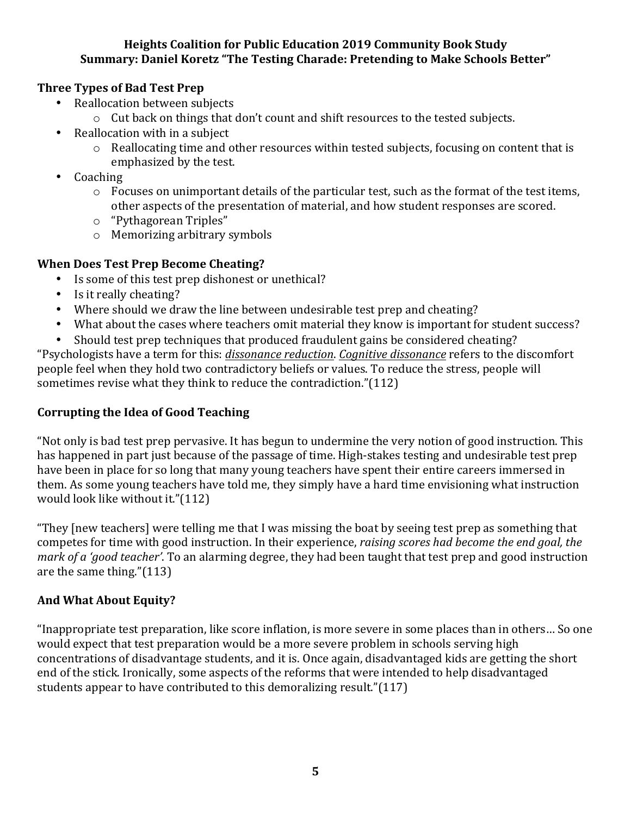### **Three Types of Bad Test Prep**

- Reallocation between subjects
	- o Cut back on things that don't count and shift resources to the tested subjects.
- Reallocation with in a subject
	- $\circ$  Reallocating time and other resources within tested subjects, focusing on content that is emphasized by the test.
- Coaching
	- $\circ$  Focuses on unimportant details of the particular test, such as the format of the test items, other aspects of the presentation of material, and how student responses are scored.
	- o "Pythagorean Triples"
	- $\circ$  Memorizing arbitrary symbols

### **When Does Test Prep Become Cheating?**

- Is some of this test prep dishonest or unethical?
- $\bullet$  Is it really cheating?
- Where should we draw the line between undesirable test prep and cheating?
- What about the cases where teachers omit material they know is important for student success?
- Should test prep techniques that produced fraudulent gains be considered cheating? "Psychologists have a term for this: *dissonance reduction. Cognitive dissonance* refers to the discomfort people feel when they hold two contradictory beliefs or values. To reduce the stress, people will sometimes revise what they think to reduce the contradiction." $(112)$

# **Corrupting the Idea of Good Teaching**

"Not only is bad test prep pervasive. It has begun to undermine the very notion of good instruction. This has happened in part just because of the passage of time. High-stakes testing and undesirable test prep have been in place for so long that many young teachers have spent their entire careers immersed in them. As some young teachers have told me, they simply have a hard time envisioning what instruction would look like without it."(112)

"They [new teachers] were telling me that I was missing the boat by seeing test prep as something that competes for time with good instruction. In their experience, *raising scores had become the end goal, the mark* of a 'good teacher'. To an alarming degree, they had been taught that test prep and good instruction are the same thing."(113)

# And What About Equity?

"Inappropriate test preparation, like score inflation, is more severe in some places than in others... So one would expect that test preparation would be a more severe problem in schools serving high concentrations of disadvantage students, and it is. Once again, disadvantaged kids are getting the short end of the stick. Ironically, some aspects of the reforms that were intended to help disadvantaged students appear to have contributed to this demoralizing result."(117)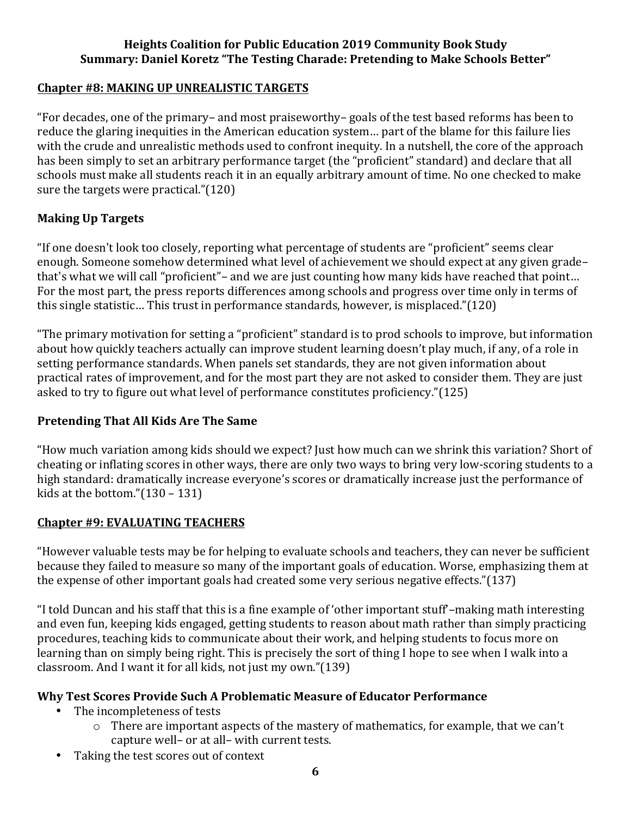### **Chapter #8: MAKING UP UNREALISTIC TARGETS**

"For decades, one of the primary– and most praiseworthy– goals of the test based reforms has been to reduce the glaring inequities in the American education system... part of the blame for this failure lies with the crude and unrealistic methods used to confront inequity. In a nutshell, the core of the approach has been simply to set an arbitrary performance target (the "proficient" standard) and declare that all schools must make all students reach it in an equally arbitrary amount of time. No one checked to make sure the targets were practical." $(120)$ 

### **Making Up Targets**

"If one doesn't look too closely, reporting what percentage of students are "proficient" seems clear enough. Someone somehow determined what level of achievement we should expect at any given grade– that's what we will call "proficient"- and we are just counting how many kids have reached that point... For the most part, the press reports differences among schools and progress over time only in terms of this single statistic... This trust in performance standards, however, is misplaced."(120)

"The primary motivation for setting a "proficient" standard is to prod schools to improve, but information about how quickly teachers actually can improve student learning doesn't play much, if any, of a role in setting performance standards. When panels set standards, they are not given information about practical rates of improvement, and for the most part they are not asked to consider them. They are just asked to try to figure out what level of performance constitutes proficiency."(125)

#### **Pretending That All Kids Are The Same**

"How much variation among kids should we expect? Just how much can we shrink this variation? Short of cheating or inflating scores in other ways, there are only two ways to bring very low-scoring students to a high standard: dramatically increase everyone's scores or dramatically increase just the performance of kids at the bottom." $(130 - 131)$ 

#### **Chapter #9: EVALUATING TEACHERS**

"However valuable tests may be for helping to evaluate schools and teachers, they can never be sufficient because they failed to measure so many of the important goals of education. Worse, emphasizing them at the expense of other important goals had created some very serious negative effects." $(137)$ 

"I told Duncan and his staff that this is a fine example of 'other important stuff'–making math interesting and even fun, keeping kids engaged, getting students to reason about math rather than simply practicing procedures, teaching kids to communicate about their work, and helping students to focus more on learning than on simply being right. This is precisely the sort of thing I hope to see when I walk into a classroom. And I want it for all kids, not just my own." $(139)$ 

# **Why Test Scores Provide Such A Problematic Measure of Educator Performance**

- The incompleteness of tests
	- $\circ$  There are important aspects of the mastery of mathematics, for example, that we can't capture well- or at all- with current tests.
- Taking the test scores out of context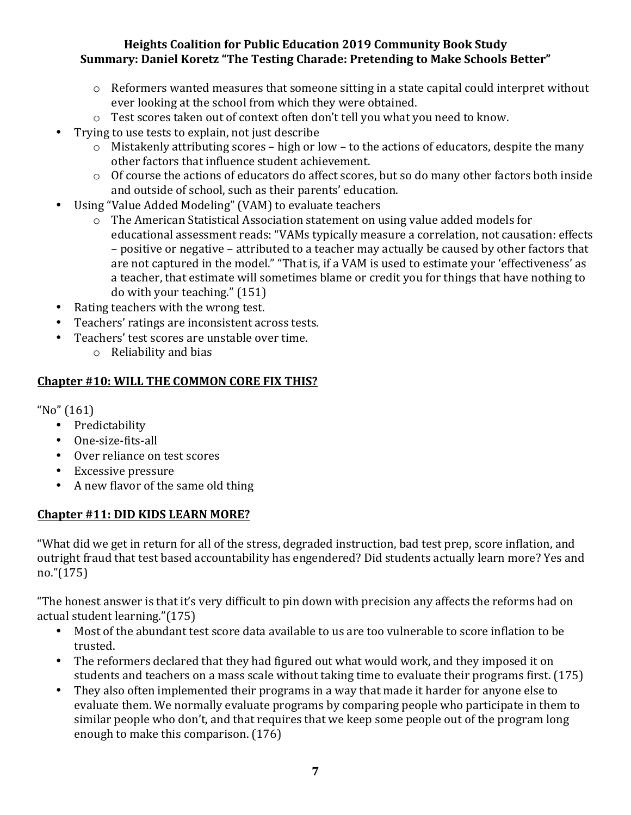- $\circ$  Reformers wanted measures that someone sitting in a state capital could interpret without ever looking at the school from which they were obtained.
- $\circ$  Test scores taken out of context often don't tell you what you need to know.
- Trying to use tests to explain, not just describe
	- $\circ$  Mistakenly attributing scores high or low to the actions of educators, despite the many other factors that influence student achievement.
	- o Of course the actions of educators do affect scores, but so do many other factors both inside and outside of school, such as their parents' education.
- Using "Value Added Modeling" (VAM) to evaluate teachers
	- o The American Statistical Association statement on using value added models for educational assessment reads: "VAMs typically measure a correlation, not causation: effects – positive or negative – attributed to a teacher may actually be caused by other factors that are not captured in the model." "That is, if a VAM is used to estimate your 'effectiveness' as a teacher, that estimate will sometimes blame or credit you for things that have nothing to  $d$ o with your teaching."  $(151)$
- Rating teachers with the wrong test.
- Teachers' ratings are inconsistent across tests.
- Teachers' test scores are unstable over time.
	- $\circ$  Reliability and bias

### **Chapter #10: WILL THE COMMON CORE FIX THIS?**

 $No''(161)$ 

- Predictability
- One-size-fits-all
- Over reliance on test scores
- Excessive pressure
- A new flavor of the same old thing

# Chapter #11: DID KIDS LEARN MORE?

"What did we get in return for all of the stress, degraded instruction, bad test prep, score inflation, and outright fraud that test based accountability has engendered? Did students actually learn more? Yes and no."(175)

"The honest answer is that it's very difficult to pin down with precision any affects the reforms had on actual student learning."(175)

- Most of the abundant test score data available to us are too vulnerable to score inflation to be trusted.
- The reformers declared that they had figured out what would work, and they imposed it on students and teachers on a mass scale without taking time to evaluate their programs first. (175)
- They also often implemented their programs in a way that made it harder for anyone else to evaluate them. We normally evaluate programs by comparing people who participate in them to similar people who don't, and that requires that we keep some people out of the program long enough to make this comparison. (176)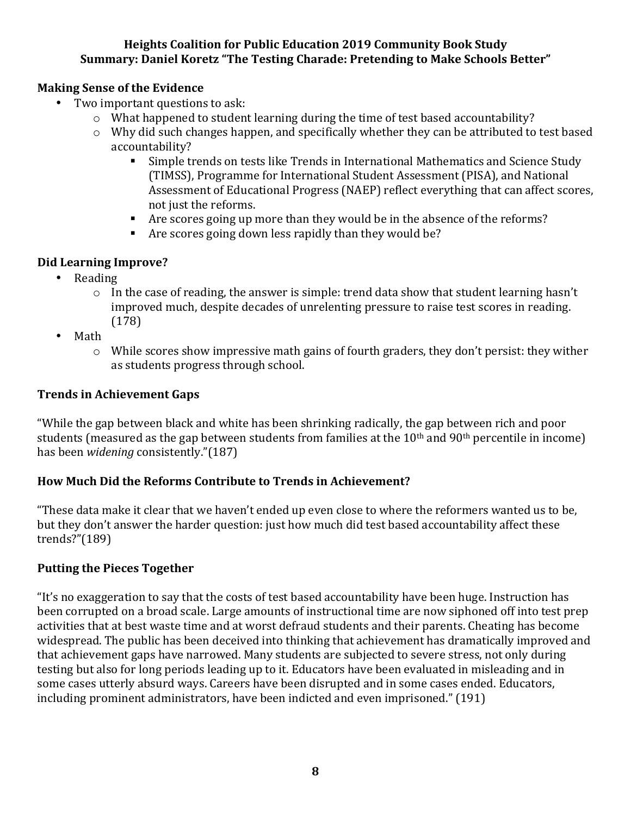### **Making Sense of the Evidence**

- Two important questions to ask:
	- o What happened to student learning during the time of test based accountability?
	- $\circ$  Why did such changes happen, and specifically whether they can be attributed to test based accountability?
		- Simple trends on tests like Trends in International Mathematics and Science Study (TIMSS), Programme for International Student Assessment (PISA), and National Assessment of Educational Progress (NAEP) reflect everything that can affect scores, not just the reforms.
		- **•** Are scores going up more than they would be in the absence of the reforms?
		- F Are scores going down less rapidly than they would be?

# **Did Learning Improve?**

- Reading
	- $\circ$  In the case of reading, the answer is simple: trend data show that student learning hasn't improved much, despite decades of unrelenting pressure to raise test scores in reading. (178)
- Math
	- $\circ$  While scores show impressive math gains of fourth graders, they don't persist: they wither as students progress through school.

# **Trends in Achievement Gaps**

"While the gap between black and white has been shrinking radically, the gap between rich and poor students (measured as the gap between students from families at the 10<sup>th</sup> and 90<sup>th</sup> percentile in income) has been *widening* consistently."(187)

# How Much Did the Reforms Contribute to Trends in Achievement?

"These data make it clear that we haven't ended up even close to where the reformers wanted us to be, but they don't answer the harder question: just how much did test based accountability affect these trends?"(189)

#### **Putting the Pieces Together**

"It's no exaggeration to say that the costs of test based accountability have been huge. Instruction has been corrupted on a broad scale. Large amounts of instructional time are now siphoned off into test prep activities that at best waste time and at worst defraud students and their parents. Cheating has become widespread. The public has been deceived into thinking that achievement has dramatically improved and that achievement gaps have narrowed. Many students are subjected to severe stress, not only during testing but also for long periods leading up to it. Educators have been evaluated in misleading and in some cases utterly absurd ways. Careers have been disrupted and in some cases ended. Educators, including prominent administrators, have been indicted and even imprisoned." (191)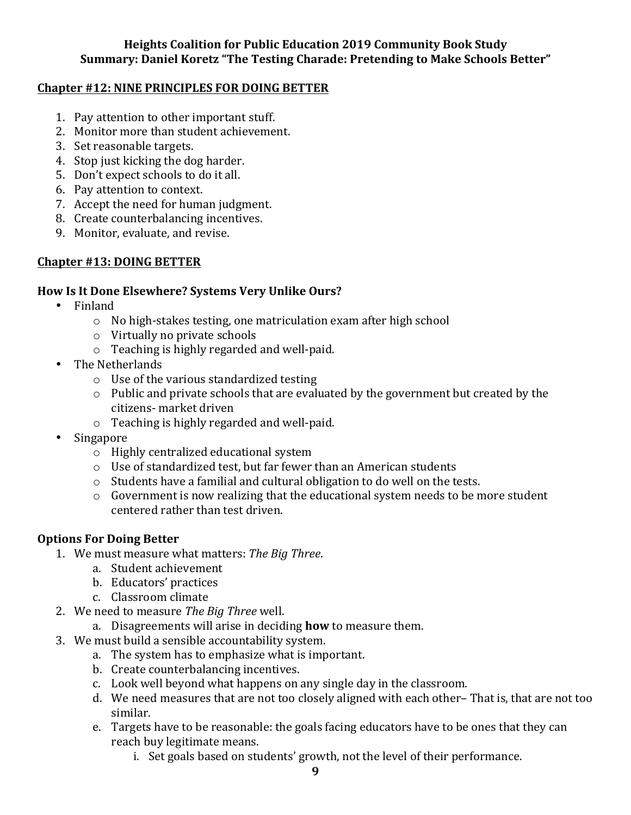### **Chapter #12: NINE PRINCIPLES FOR DOING BETTER**

- 1. Pay attention to other important stuff.
- 2. Monitor more than student achievement.
- 3. Set reasonable targets.
- 4. Stop just kicking the dog harder.
- 5. Don't expect schools to do it all.
- 6. Pay attention to context.
- 7. Accept the need for human judgment.
- 8. Create counterbalancing incentives.
- 9. Monitor, evaluate, and revise.

# **Chapter #13: DOING BETTER**

### How Is It Done Elsewhere? Systems Very Unlike Ours?

- Finland
	- $\circ$  No high-stakes testing, one matriculation exam after high school
	- $\circ$  Virtually no private schools
	- $\circ$  Teaching is highly regarded and well-paid.
- The Netherlands
	- $\circ$  Use of the various standardized testing
	- $\circ$  Public and private schools that are evaluated by the government but created by the citizens- market driven
	- $\circ$  Teaching is highly regarded and well-paid.
- **Singapore** 
	- $\circ$  Highly centralized educational system
	- $\circ$  Use of standardized test, but far fewer than an American students
	- $\circ$  Students have a familial and cultural obligation to do well on the tests.
	- $\circ$  Government is now realizing that the educational system needs to be more student centered rather than test driven.

# **Options For Doing Better**

- 1. We must measure what matters: The Big Three.
	- a. Student achievement
	- b. Educators' practices
	- c. Classroom climate
- 2. We need to measure *The Big Three* well.
	- a. Disagreements will arise in deciding **how** to measure them.
- 3. We must build a sensible accountability system.
	- a. The system has to emphasize what is important.
	- b. Create counterbalancing incentives.
	- c. Look well beyond what happens on any single day in the classroom.
	- d. We need measures that are not too closely aligned with each other-That is, that are not too similar.
	- e. Targets have to be reasonable: the goals facing educators have to be ones that they can reach buy legitimate means.
		- i. Set goals based on students' growth, not the level of their performance.